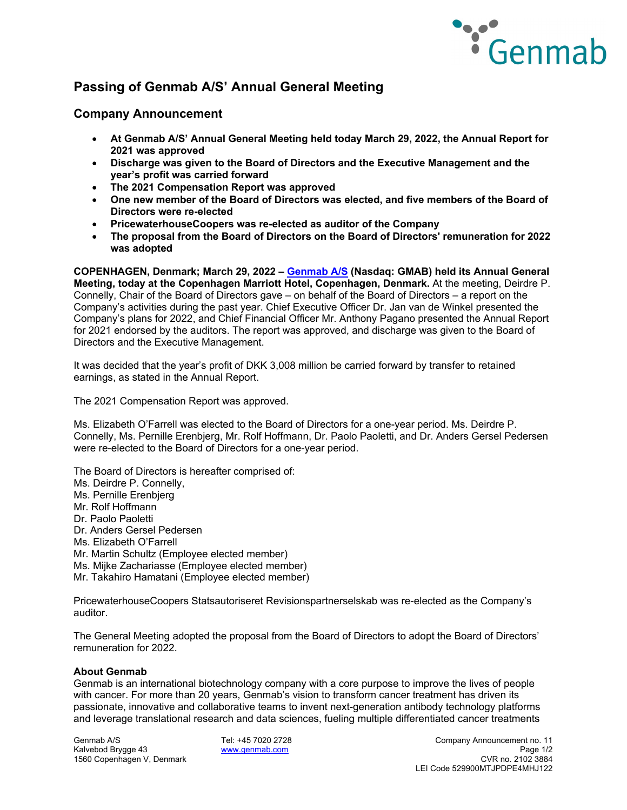

# **Passing of Genmab A/S' Annual General Meeting**

## **Company Announcement**

- **At Genmab A/S' Annual General Meeting held today March 29, 2022, the Annual Report for 2021 was approved**
- **Discharge was given to the Board of Directors and the Executive Management and the year's profit was carried forward**
- **The 2021 Compensation Report was approved**
- **One new member of the Board of Directors was elected, and five members of the Board of Directors were re-elected**
- **PricewaterhouseCoopers was re-elected as auditor of the Company**
- **The proposal from the Board of Directors on the Board of Directors' remuneration for 2022 was adopted**

**COPENHAGEN, Denmark; March 29, 2022 – [Genmab A/S](https://www.genmab.com/) (Nasdaq: GMAB) held its Annual General Meeting, today at the Copenhagen Marriott Hotel, Copenhagen, Denmark.** At the meeting, Deirdre P. Connelly, Chair of the Board of Directors gave – on behalf of the Board of Directors – a report on the Company's activities during the past year. Chief Executive Officer Dr. Jan van de Winkel presented the Company's plans for 2022, and Chief Financial Officer Mr. Anthony Pagano presented the Annual Report for 2021 endorsed by the auditors. The report was approved, and discharge was given to the Board of Directors and the Executive Management.

It was decided that the year's profit of DKK 3,008 million be carried forward by transfer to retained earnings, as stated in the Annual Report.

The 2021 Compensation Report was approved.

Ms. Elizabeth O'Farrell was elected to the Board of Directors for a one-year period. Ms. Deirdre P. Connelly, Ms. Pernille Erenbjerg, Mr. Rolf Hoffmann, Dr. Paolo Paoletti, and Dr. Anders Gersel Pedersen were re-elected to the Board of Directors for a one-year period.

The Board of Directors is hereafter comprised of:

- Ms. Deirdre P. Connelly,
- Ms. Pernille Erenbjerg
- Mr. Rolf Hoffmann
- Dr. Paolo Paoletti
- Dr. Anders Gersel Pedersen
- Ms. Elizabeth O'Farrell
- Mr. Martin Schultz (Employee elected member)
- Ms. Mijke Zachariasse (Employee elected member)
- Mr. Takahiro Hamatani (Employee elected member)

PricewaterhouseCoopers Statsautoriseret Revisionspartnerselskab was re-elected as the Company's auditor.

The General Meeting adopted the proposal from the Board of Directors to adopt the Board of Directors' remuneration for 2022.

## **About Genmab**

Genmab is an international biotechnology company with a core purpose to improve the lives of people with cancer. For more than 20 years, Genmab's vision to transform cancer treatment has driven its passionate, innovative and collaborative teams to invent next-generation antibody technology platforms and leverage translational research and data sciences, fueling multiple differentiated cancer treatments

1560 Copenhagen V, Denmark

Genmab A/S Tel: +45 7020 2728 Company Announcement no. 11 Kalvebod Brygge 43 **[www.genmab.com](http://www.genmab.com/) Page 1/2**<br>1560 Copenhagen V. Denmark **www.genmab.com Page 1/2** CVR no. 2102 3884 LEI Code 529900MTJPDPE4MHJ122